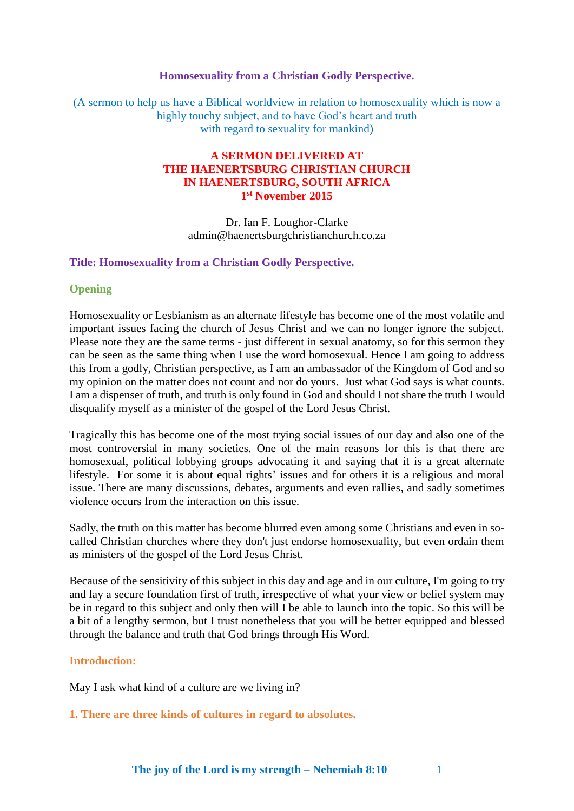### **Homosexuality from a Christian Godly Perspective.**

(A sermon to help us have a Biblical worldview in relation to homosexuality which is now a highly touchy subject, and to have God's heart and truth with regard to sexuality for mankind)

# **A SERMON DELIVERED AT THE HAENERTSBURG CHRISTIAN CHURCH IN HAENERTSBURG, SOUTH AFRICA 1 st November 2015**

Dr. Ian F. Loughor-Clarke admin@haenertsburgchristianchurch.co.za

### **Title: Homosexuality from a Christian Godly Perspective.**

### **Opening**

Homosexuality or Lesbianism as an alternate lifestyle has become one of the most volatile and important issues facing the church of Jesus Christ and we can no longer ignore the subject. Please note they are the same terms - just different in sexual anatomy, so for this sermon they can be seen as the same thing when I use the word homosexual. Hence I am going to address this from a godly, Christian perspective, as I am an ambassador of the Kingdom of God and so my opinion on the matter does not count and nor do yours. Just what God says is what counts. I am a dispenser of truth, and truth is only found in God and should I not share the truth I would disqualify myself as a minister of the gospel of the Lord Jesus Christ.

Tragically this has become one of the most trying social issues of our day and also one of the most controversial in many societies. One of the main reasons for this is that there are homosexual, political lobbying groups advocating it and saying that it is a great alternate lifestyle. For some it is about equal rights' issues and for others it is a religious and moral issue. There are many discussions, debates, arguments and even rallies, and sadly sometimes violence occurs from the interaction on this issue.

Sadly, the truth on this matter has become blurred even among some Christians and even in socalled Christian churches where they don't just endorse homosexuality, but even ordain them as ministers of the gospel of the Lord Jesus Christ.

Because of the sensitivity of this subject in this day and age and in our culture, I'm going to try and lay a secure foundation first of truth, irrespective of what your view or belief system may be in regard to this subject and only then will I be able to launch into the topic. So this will be a bit of a lengthy sermon, but I trust nonetheless that you will be better equipped and blessed through the balance and truth that God brings through His Word.

### **Introduction:**

May I ask what kind of a culture are we living in?

**1. There are three kinds of cultures in regard to absolutes.**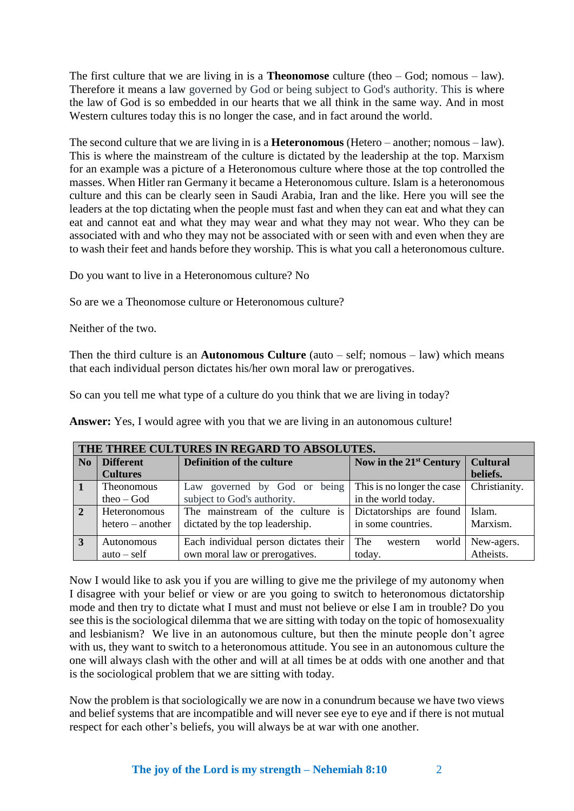The first culture that we are living in is a **Theonomose** culture (theo – God; nomous – law). Therefore it means a law governed by God or being subject to God's authority. This is where the law of God is so embedded in our hearts that we all think in the same way. And in most Western cultures today this is no longer the case, and in fact around the world.

The second culture that we are living in is a **Heteronomous** (Hetero – another; nomous – law). This is where the mainstream of the culture is dictated by the leadership at the top. Marxism for an example was a picture of a Heteronomous culture where those at the top controlled the masses. When Hitler ran Germany it became a Heteronomous culture. Islam is a heteronomous culture and this can be clearly seen in Saudi Arabia, Iran and the like. Here you will see the leaders at the top dictating when the people must fast and when they can eat and what they can eat and cannot eat and what they may wear and what they may not wear. Who they can be associated with and who they may not be associated with or seen with and even when they are to wash their feet and hands before they worship. This is what you call a heteronomous culture.

Do you want to live in a Heteronomous culture? No

So are we a Theonomose culture or Heteronomous culture?

Neither of the two.

Then the third culture is an **Autonomous Culture** (auto – self; nomous – law) which means that each individual person dictates his/her own moral law or prerogatives.

So can you tell me what type of a culture do you think that we are living in today?

**Answer:** Yes, I would agree with you that we are living in an autonomous culture!

| THE THREE CULTURES IN REGARD TO ABSOLUTES. |                    |                                       |                            |                 |
|--------------------------------------------|--------------------|---------------------------------------|----------------------------|-----------------|
| N <sub>0</sub>                             | <b>Different</b>   | Definition of the culture             | Now in the $21st$ Century  | <b>Cultural</b> |
|                                            | <b>Cultures</b>    |                                       |                            | beliefs.        |
| -1                                         | <b>Theonomous</b>  | Law governed by God or being          | This is no longer the case | Christianity.   |
|                                            | $theo - God$       | subject to God's authority.           | in the world today.        |                 |
| $\overline{2}$                             | Heteronomous       | The mainstream of the culture is      | Dictatorships are found    | Islam.          |
|                                            | $hetero - another$ | dictated by the top leadership.       | in some countries.         | Marxism.        |
| 3                                          | Autonomous         | Each individual person dictates their | The<br>world<br>western    | New-agers.      |
|                                            | $auto - self$      | own moral law or prerogatives.        | today.                     | Atheists.       |

Now I would like to ask you if you are willing to give me the privilege of my autonomy when I disagree with your belief or view or are you going to switch to heteronomous dictatorship mode and then try to dictate what I must and must not believe or else I am in trouble? Do you see this is the sociological dilemma that we are sitting with today on the topic of homosexuality and lesbianism? We live in an autonomous culture, but then the minute people don't agree with us, they want to switch to a heteronomous attitude. You see in an autonomous culture the one will always clash with the other and will at all times be at odds with one another and that is the sociological problem that we are sitting with today.

Now the problem is that sociologically we are now in a conundrum because we have two views and belief systems that are incompatible and will never see eye to eye and if there is not mutual respect for each other's beliefs, you will always be at war with one another.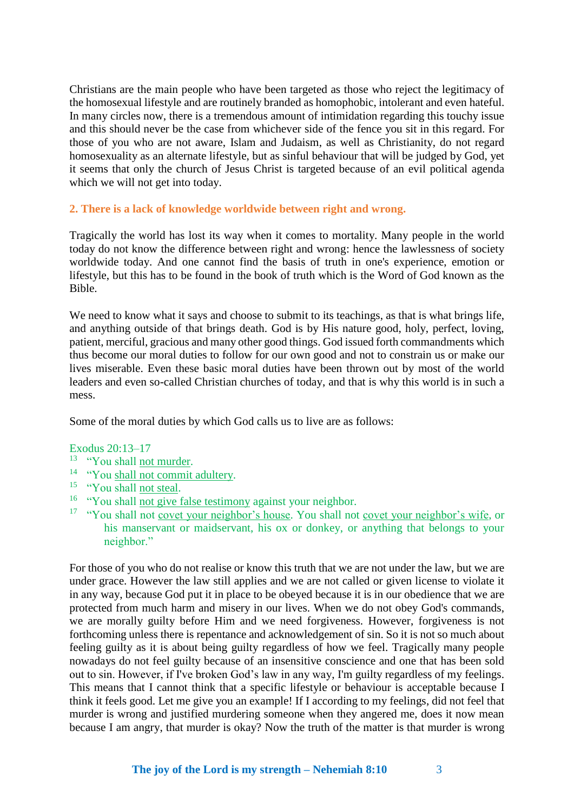Christians are the main people who have been targeted as those who reject the legitimacy of the homosexual lifestyle and are routinely branded as homophobic, intolerant and even hateful. In many circles now, there is a tremendous amount of intimidation regarding this touchy issue and this should never be the case from whichever side of the fence you sit in this regard. For those of you who are not aware, Islam and Judaism, as well as Christianity, do not regard homosexuality as an alternate lifestyle, but as sinful behaviour that will be judged by God, yet it seems that only the church of Jesus Christ is targeted because of an evil political agenda which we will not get into today.

## **2. There is a lack of knowledge worldwide between right and wrong.**

Tragically the world has lost its way when it comes to mortality. Many people in the world today do not know the difference between right and wrong: hence the lawlessness of society worldwide today. And one cannot find the basis of truth in one's experience, emotion or lifestyle, but this has to be found in the book of truth which is the Word of God known as the Bible.

We need to know what it says and choose to submit to its teachings, as that is what brings life, and anything outside of that brings death. God is by His nature good, holy, perfect, loving, patient, merciful, gracious and many other good things. God issued forth commandments which thus become our moral duties to follow for our own good and not to constrain us or make our lives miserable. Even these basic moral duties have been thrown out by most of the world leaders and even so-called Christian churches of today, and that is why this world is in such a mess.

Some of the moral duties by which God calls us to live are as follows:

#### Exodus 20:13–17

- <sup>13</sup> "You shall not murder.
- <sup>14</sup> "You shall not commit adultery.
- <sup>15</sup> "You shall not steal.
- <sup>16</sup> "You shall not give false testimony against your neighbor.
- <sup>17</sup> "You shall not covet your neighbor's house. You shall not covet your neighbor's wife, or his manservant or maidservant, his ox or donkey, or anything that belongs to your neighbor."

For those of you who do not realise or know this truth that we are not under the law, but we are under grace. However the law still applies and we are not called or given license to violate it in any way, because God put it in place to be obeyed because it is in our obedience that we are protected from much harm and misery in our lives. When we do not obey God's commands, we are morally guilty before Him and we need forgiveness. However, forgiveness is not forthcoming unless there is repentance and acknowledgement of sin. So it is not so much about feeling guilty as it is about being guilty regardless of how we feel. Tragically many people nowadays do not feel guilty because of an insensitive conscience and one that has been sold out to sin. However, if I've broken God's law in any way, I'm guilty regardless of my feelings. This means that I cannot think that a specific lifestyle or behaviour is acceptable because I think it feels good. Let me give you an example! If I according to my feelings, did not feel that murder is wrong and justified murdering someone when they angered me, does it now mean because I am angry, that murder is okay? Now the truth of the matter is that murder is wrong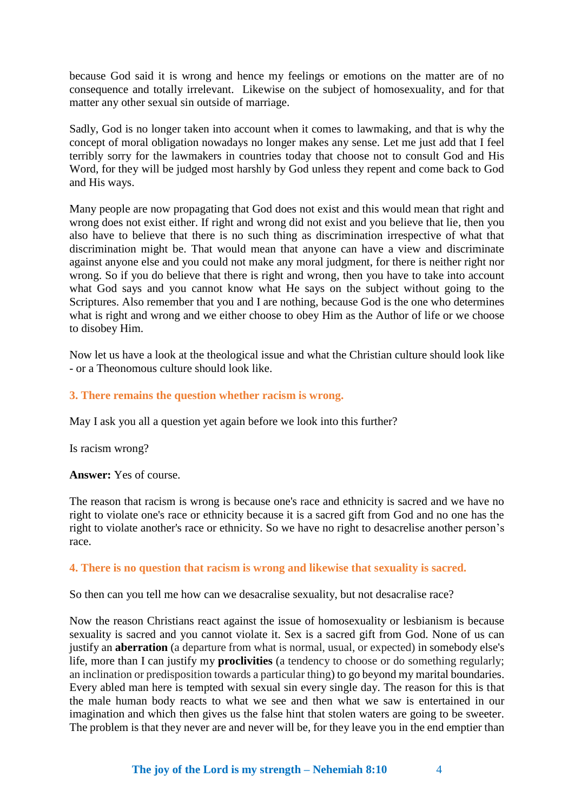because God said it is wrong and hence my feelings or emotions on the matter are of no consequence and totally irrelevant. Likewise on the subject of homosexuality, and for that matter any other sexual sin outside of marriage.

Sadly, God is no longer taken into account when it comes to lawmaking, and that is why the concept of moral obligation nowadays no longer makes any sense. Let me just add that I feel terribly sorry for the lawmakers in countries today that choose not to consult God and His Word, for they will be judged most harshly by God unless they repent and come back to God and His ways.

Many people are now propagating that God does not exist and this would mean that right and wrong does not exist either. If right and wrong did not exist and you believe that lie, then you also have to believe that there is no such thing as discrimination irrespective of what that discrimination might be. That would mean that anyone can have a view and discriminate against anyone else and you could not make any moral judgment, for there is neither right nor wrong. So if you do believe that there is right and wrong, then you have to take into account what God says and you cannot know what He says on the subject without going to the Scriptures. Also remember that you and I are nothing, because God is the one who determines what is right and wrong and we either choose to obey Him as the Author of life or we choose to disobey Him.

Now let us have a look at the theological issue and what the Christian culture should look like - or a Theonomous culture should look like.

### **3. There remains the question whether racism is wrong.**

May I ask you all a question yet again before we look into this further?

Is racism wrong?

**Answer:** Yes of course.

The reason that racism is wrong is because one's race and ethnicity is sacred and we have no right to violate one's race or ethnicity because it is a sacred gift from God and no one has the right to violate another's race or ethnicity. So we have no right to desacrelise another person's race.

### **4. There is no question that racism is wrong and likewise that sexuality is sacred.**

So then can you tell me how can we desacralise sexuality, but not desacralise race?

Now the reason Christians react against the issue of homosexuality or lesbianism is because sexuality is sacred and you cannot violate it. Sex is a sacred gift from God. None of us can justify an **aberration** (a departure from what is normal, usual, or expected) in somebody else's life, more than I can justify my **proclivities** (a tendency to choose or do something regularly; an inclination or predisposition towards a particular thing) to go beyond my marital boundaries. Every abled man here is tempted with sexual sin every single day. The reason for this is that the male human body reacts to what we see and then what we saw is entertained in our imagination and which then gives us the false hint that stolen waters are going to be sweeter. The problem is that they never are and never will be, for they leave you in the end emptier than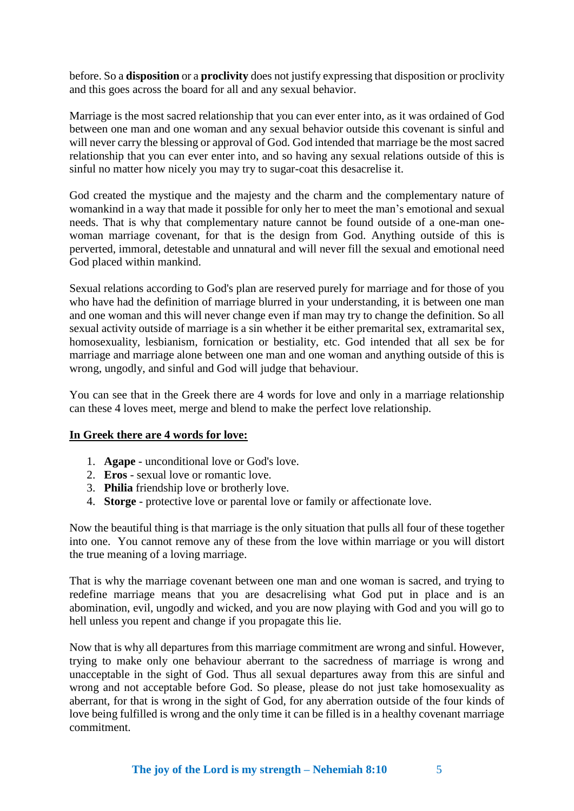before. So a **disposition** or a **proclivity** does not justify expressing that disposition or proclivity and this goes across the board for all and any sexual behavior.

Marriage is the most sacred relationship that you can ever enter into, as it was ordained of God between one man and one woman and any sexual behavior outside this covenant is sinful and will never carry the blessing or approval of God. God intended that marriage be the most sacred relationship that you can ever enter into, and so having any sexual relations outside of this is sinful no matter how nicely you may try to sugar-coat this desacrelise it.

God created the mystique and the majesty and the charm and the complementary nature of womankind in a way that made it possible for only her to meet the man's emotional and sexual needs. That is why that complementary nature cannot be found outside of a one-man onewoman marriage covenant, for that is the design from God. Anything outside of this is perverted, immoral, detestable and unnatural and will never fill the sexual and emotional need God placed within mankind.

Sexual relations according to God's plan are reserved purely for marriage and for those of you who have had the definition of marriage blurred in your understanding, it is between one man and one woman and this will never change even if man may try to change the definition. So all sexual activity outside of marriage is a sin whether it be either premarital sex, extramarital sex, homosexuality, lesbianism, fornication or bestiality, etc. God intended that all sex be for marriage and marriage alone between one man and one woman and anything outside of this is wrong, ungodly, and sinful and God will judge that behaviour.

You can see that in the Greek there are 4 words for love and only in a marriage relationship can these 4 loves meet, merge and blend to make the perfect love relationship.

# **In Greek there are 4 words for love:**

- 1. **Agape** unconditional love or God's love.
- 2. **Eros** sexual love or romantic love.
- 3. **Philia** friendship love or brotherly love.
- 4. **Storge** protective love or parental love or family or affectionate love.

Now the beautiful thing is that marriage is the only situation that pulls all four of these together into one. You cannot remove any of these from the love within marriage or you will distort the true meaning of a loving marriage.

That is why the marriage covenant between one man and one woman is sacred, and trying to redefine marriage means that you are desacrelising what God put in place and is an abomination, evil, ungodly and wicked, and you are now playing with God and you will go to hell unless you repent and change if you propagate this lie.

Now that is why all departures from this marriage commitment are wrong and sinful. However, trying to make only one behaviour aberrant to the sacredness of marriage is wrong and unacceptable in the sight of God. Thus all sexual departures away from this are sinful and wrong and not acceptable before God. So please, please do not just take homosexuality as aberrant, for that is wrong in the sight of God, for any aberration outside of the four kinds of love being fulfilled is wrong and the only time it can be filled is in a healthy covenant marriage commitment.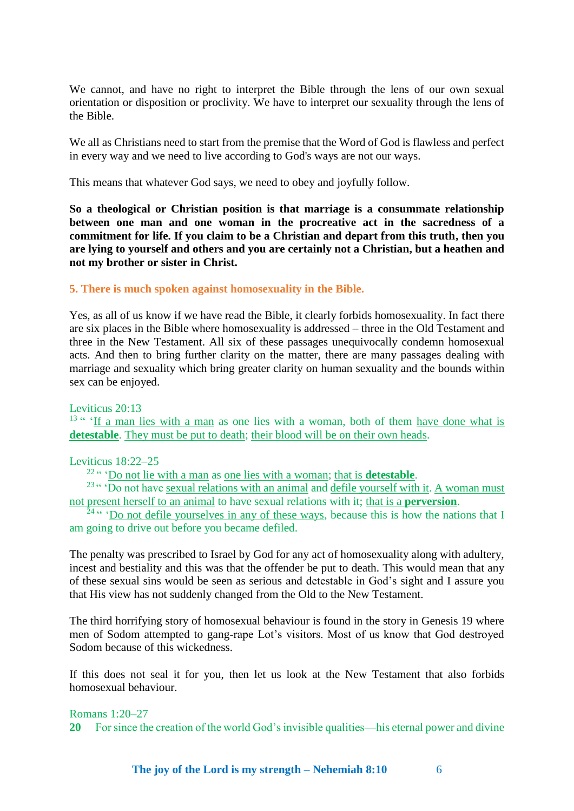We cannot, and have no right to interpret the Bible through the lens of our own sexual orientation or disposition or proclivity. We have to interpret our sexuality through the lens of the Bible.

We all as Christians need to start from the premise that the Word of God is flawless and perfect in every way and we need to live according to God's ways are not our ways.

This means that whatever God says, we need to obey and joyfully follow.

**So a theological or Christian position is that marriage is a consummate relationship between one man and one woman in the procreative act in the sacredness of a commitment for life. If you claim to be a Christian and depart from this truth, then you are lying to yourself and others and you are certainly not a Christian, but a heathen and not my brother or sister in Christ.** 

## **5. There is much spoken against homosexuality in the Bible.**

Yes, as all of us know if we have read the Bible, it clearly forbids homosexuality. In fact there are six places in the Bible where homosexuality is addressed – three in the Old Testament and three in the New Testament. All six of these passages unequivocally condemn homosexual acts. And then to bring further clarity on the matter, there are many passages dealing with marriage and sexuality which bring greater clarity on human sexuality and the bounds within sex can be enjoyed.

#### Leviticus 20:13

 $13$ " 'If a man lies with a man as one lies with a woman, both of them have done what is **detestable**. They must be put to death; their blood will be on their own heads.

### Leviticus 18:22–25

<sup>22</sup>" 'Do not lie with a man as one lies with a woman; that is **detestable**.

<sup>23</sup> " Do not have sexual relations with an animal and defile yourself with it. A woman must not present herself to an animal to have sexual relations with it; that is a **perversion**.

 $\frac{24}{34}$ " 'Do not defile yourselves in any of these ways, because this is how the nations that I am going to drive out before you became defiled.

The penalty was prescribed to Israel by God for any act of homosexuality along with adultery, incest and bestiality and this was that the offender be put to death. This would mean that any of these sexual sins would be seen as serious and detestable in God's sight and I assure you that His view has not suddenly changed from the Old to the New Testament.

The third horrifying story of homosexual behaviour is found in the story in Genesis 19 where men of Sodom attempted to gang-rape Lot's visitors. Most of us know that God destroyed Sodom because of this wickedness.

If this does not seal it for you, then let us look at the New Testament that also forbids homosexual behaviour.

#### Romans 1:20–27

**20** For since the creation of the world God's invisible qualities—his eternal power and divine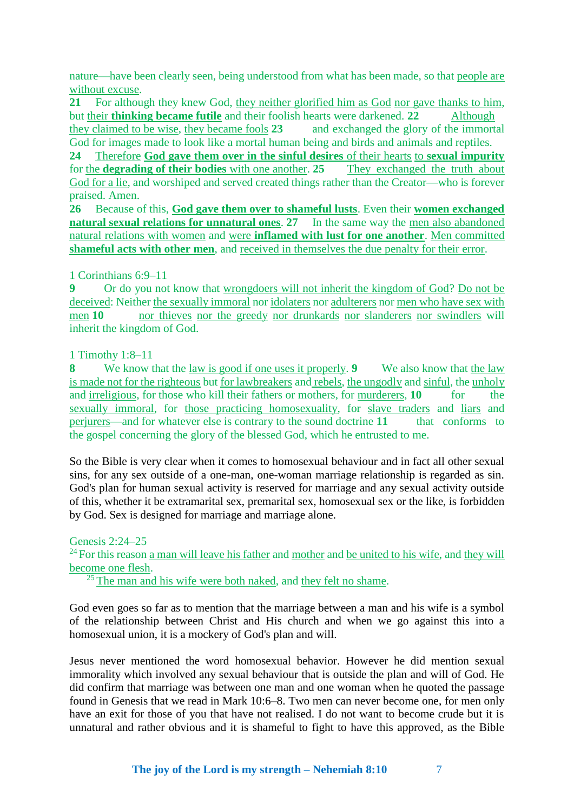nature—have been clearly seen, being understood from what has been made, so that people are without excuse.

**21** For although they knew God, they neither glorified him as God nor gave thanks to him, but their **thinking became futile** and their foolish hearts were darkened. **22** Although they claimed to be wise, they became fools **23** and exchanged the glory of the immortal God for images made to look like a mortal human being and birds and animals and reptiles.

**24** Therefore **God gave them over in the sinful desires** of their hearts to **sexual impurity** for the **degrading of their bodies** with one another. **25** They exchanged the truth about God for a lie, and worshiped and served created things rather than the Creator—who is forever praised. Amen.

**26** Because of this, **God gave them over to shameful lusts**. Even their **women exchanged natural sexual relations for unnatural ones. 27** In the same way the men also abandoned natural relations with women and were **inflamed with lust for one another**. Men committed **shameful acts with other men**, and received in themselves the due penalty for their error.

## 1 Corinthians 6:9–11

**9** Or do you not know that wrongdoers will not inherit the kingdom of God? Do not be deceived: Neither the sexually immoral nor idolaters nor adulterers nor men who have sex with men **10 nor** thieves nor the greedy nor drunkards nor slanderers nor swindlers will inherit the kingdom of God.

## 1 Timothy 1:8–11

**8** We know that the law is good if one uses it properly. **9** We also know that the law is made not for the righteous but for lawbreakers and rebels, the ungodly and sinful, the unholy and irreligious, for those who kill their fathers or mothers, for murderers, **10** for the sexually immoral, for those practicing homosexuality, for slave traders and liars and perjurers—and for whatever else is contrary to the sound doctrine **11** that conforms to the gospel concerning the glory of the blessed God, which he entrusted to me.

So the Bible is very clear when it comes to homosexual behaviour and in fact all other sexual sins, for any sex outside of a one-man, one-woman marriage relationship is regarded as sin. God's plan for human sexual activity is reserved for marriage and any sexual activity outside of this, whether it be extramarital sex, premarital sex, homosexual sex or the like, is forbidden by God. Sex is designed for marriage and marriage alone.

# Genesis 2:24–25

<sup>24</sup> For this reason a man will leave his father and mother and be united to his wife, and they will become one flesh.

 $25$  The man and his wife were both naked, and they felt no shame.

God even goes so far as to mention that the marriage between a man and his wife is a symbol of the relationship between Christ and His church and when we go against this into a homosexual union, it is a mockery of God's plan and will.

Jesus never mentioned the word homosexual behavior. However he did mention sexual immorality which involved any sexual behaviour that is outside the plan and will of God. He did confirm that marriage was between one man and one woman when he quoted the passage found in Genesis that we read in Mark 10:6–8. Two men can never become one, for men only have an exit for those of you that have not realised. I do not want to become crude but it is unnatural and rather obvious and it is shameful to fight to have this approved, as the Bible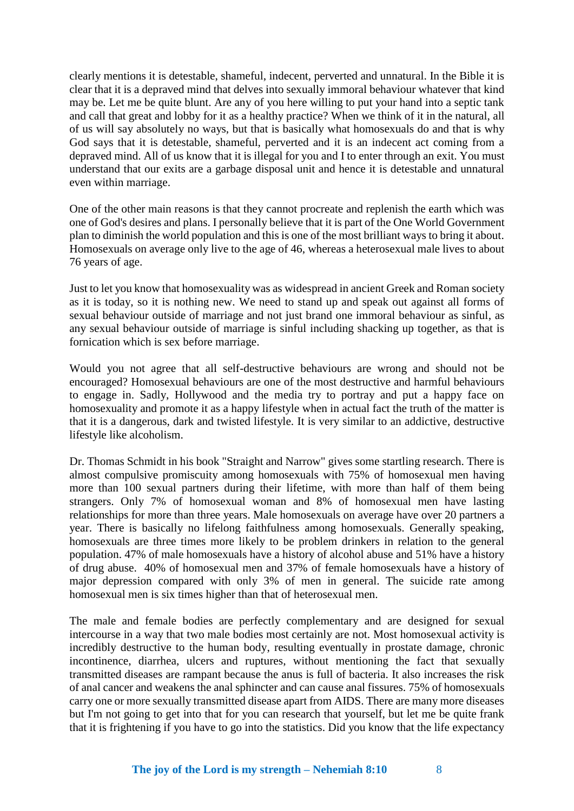clearly mentions it is detestable, shameful, indecent, perverted and unnatural. In the Bible it is clear that it is a depraved mind that delves into sexually immoral behaviour whatever that kind may be. Let me be quite blunt. Are any of you here willing to put your hand into a septic tank and call that great and lobby for it as a healthy practice? When we think of it in the natural, all of us will say absolutely no ways, but that is basically what homosexuals do and that is why God says that it is detestable, shameful, perverted and it is an indecent act coming from a depraved mind. All of us know that it is illegal for you and I to enter through an exit. You must understand that our exits are a garbage disposal unit and hence it is detestable and unnatural even within marriage.

One of the other main reasons is that they cannot procreate and replenish the earth which was one of God's desires and plans. I personally believe that it is part of the One World Government plan to diminish the world population and this is one of the most brilliant ways to bring it about. Homosexuals on average only live to the age of 46, whereas a heterosexual male lives to about 76 years of age.

Just to let you know that homosexuality was as widespread in ancient Greek and Roman society as it is today, so it is nothing new. We need to stand up and speak out against all forms of sexual behaviour outside of marriage and not just brand one immoral behaviour as sinful, as any sexual behaviour outside of marriage is sinful including shacking up together, as that is fornication which is sex before marriage.

Would you not agree that all self-destructive behaviours are wrong and should not be encouraged? Homosexual behaviours are one of the most destructive and harmful behaviours to engage in. Sadly, Hollywood and the media try to portray and put a happy face on homosexuality and promote it as a happy lifestyle when in actual fact the truth of the matter is that it is a dangerous, dark and twisted lifestyle. It is very similar to an addictive, destructive lifestyle like alcoholism.

Dr. Thomas Schmidt in his book "Straight and Narrow" gives some startling research. There is almost compulsive promiscuity among homosexuals with 75% of homosexual men having more than 100 sexual partners during their lifetime, with more than half of them being strangers. Only 7% of homosexual woman and 8% of homosexual men have lasting relationships for more than three years. Male homosexuals on average have over 20 partners a year. There is basically no lifelong faithfulness among homosexuals. Generally speaking, homosexuals are three times more likely to be problem drinkers in relation to the general population. 47% of male homosexuals have a history of alcohol abuse and 51% have a history of drug abuse. 40% of homosexual men and 37% of female homosexuals have a history of major depression compared with only 3% of men in general. The suicide rate among homosexual men is six times higher than that of heterosexual men.

The male and female bodies are perfectly complementary and are designed for sexual intercourse in a way that two male bodies most certainly are not. Most homosexual activity is incredibly destructive to the human body, resulting eventually in prostate damage, chronic incontinence, diarrhea, ulcers and ruptures, without mentioning the fact that sexually transmitted diseases are rampant because the anus is full of bacteria. It also increases the risk of anal cancer and weakens the anal sphincter and can cause anal fissures. 75% of homosexuals carry one or more sexually transmitted disease apart from AIDS. There are many more diseases but I'm not going to get into that for you can research that yourself, but let me be quite frank that it is frightening if you have to go into the statistics. Did you know that the life expectancy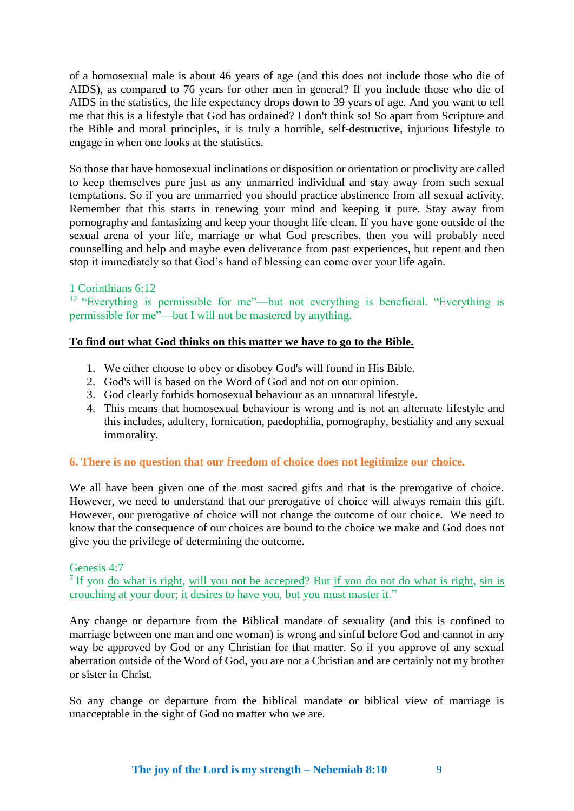of a homosexual male is about 46 years of age (and this does not include those who die of AIDS), as compared to 76 years for other men in general? If you include those who die of AIDS in the statistics, the life expectancy drops down to 39 years of age. And you want to tell me that this is a lifestyle that God has ordained? I don't think so! So apart from Scripture and the Bible and moral principles, it is truly a horrible, self-destructive, injurious lifestyle to engage in when one looks at the statistics.

So those that have homosexual inclinations or disposition or orientation or proclivity are called to keep themselves pure just as any unmarried individual and stay away from such sexual temptations. So if you are unmarried you should practice abstinence from all sexual activity. Remember that this starts in renewing your mind and keeping it pure. Stay away from pornography and fantasizing and keep your thought life clean. If you have gone outside of the sexual arena of your life, marriage or what God prescribes. then you will probably need counselling and help and maybe even deliverance from past experiences, but repent and then stop it immediately so that God's hand of blessing can come over your life again.

# 1 Corinthians 6:12

<sup>12</sup> "Everything is permissible for me"—but not everything is beneficial. "Everything is permissible for me"—but I will not be mastered by anything.

## **To find out what God thinks on this matter we have to go to the Bible.**

- 1. We either choose to obey or disobey God's will found in His Bible.
- 2. God's will is based on the Word of God and not on our opinion.
- 3. God clearly forbids homosexual behaviour as an unnatural lifestyle.
- 4. This means that homosexual behaviour is wrong and is not an alternate lifestyle and this includes, adultery, fornication, paedophilia, pornography, bestiality and any sexual immorality.

### **6. There is no question that our freedom of choice does not legitimize our choice.**

We all have been given one of the most sacred gifts and that is the prerogative of choice. However, we need to understand that our prerogative of choice will always remain this gift. However, our prerogative of choice will not change the outcome of our choice. We need to know that the consequence of our choices are bound to the choice we make and God does not give you the privilege of determining the outcome.

### Genesis 4:7

<sup>7</sup> If you do what is right, will you not be accepted? But if you do not do what is right, sin is crouching at your door; it desires to have you, but you must master it."

Any change or departure from the Biblical mandate of sexuality (and this is confined to marriage between one man and one woman) is wrong and sinful before God and cannot in any way be approved by God or any Christian for that matter. So if you approve of any sexual aberration outside of the Word of God, you are not a Christian and are certainly not my brother or sister in Christ.

So any change or departure from the biblical mandate or biblical view of marriage is unacceptable in the sight of God no matter who we are.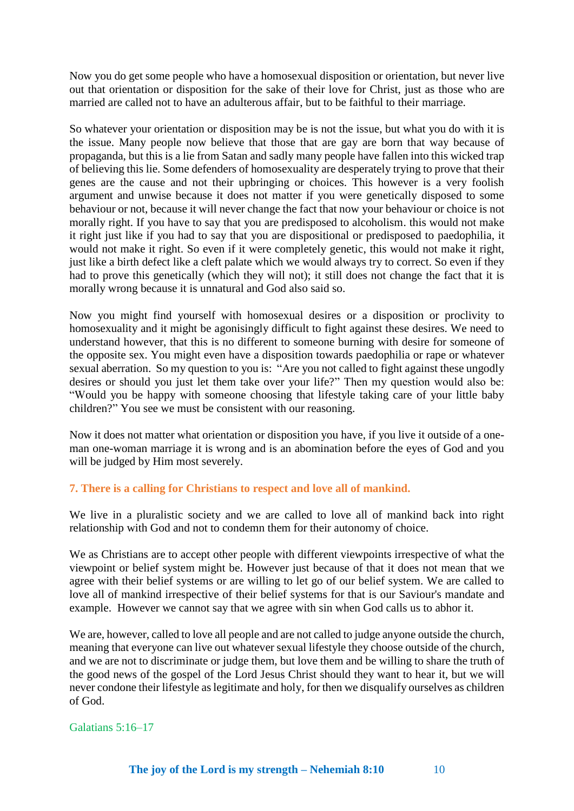Now you do get some people who have a homosexual disposition or orientation, but never live out that orientation or disposition for the sake of their love for Christ, just as those who are married are called not to have an adulterous affair, but to be faithful to their marriage.

So whatever your orientation or disposition may be is not the issue, but what you do with it is the issue. Many people now believe that those that are gay are born that way because of propaganda, but this is a lie from Satan and sadly many people have fallen into this wicked trap of believing this lie. Some defenders of homosexuality are desperately trying to prove that their genes are the cause and not their upbringing or choices. This however is a very foolish argument and unwise because it does not matter if you were genetically disposed to some behaviour or not, because it will never change the fact that now your behaviour or choice is not morally right. If you have to say that you are predisposed to alcoholism. this would not make it right just like if you had to say that you are dispositional or predisposed to paedophilia, it would not make it right. So even if it were completely genetic, this would not make it right, just like a birth defect like a cleft palate which we would always try to correct. So even if they had to prove this genetically (which they will not); it still does not change the fact that it is morally wrong because it is unnatural and God also said so.

Now you might find yourself with homosexual desires or a disposition or proclivity to homosexuality and it might be agonisingly difficult to fight against these desires. We need to understand however, that this is no different to someone burning with desire for someone of the opposite sex. You might even have a disposition towards paedophilia or rape or whatever sexual aberration. So my question to you is: "Are you not called to fight against these ungodly desires or should you just let them take over your life?" Then my question would also be: "Would you be happy with someone choosing that lifestyle taking care of your little baby children?" You see we must be consistent with our reasoning.

Now it does not matter what orientation or disposition you have, if you live it outside of a oneman one-woman marriage it is wrong and is an abomination before the eyes of God and you will be judged by Him most severely.

# **7. There is a calling for Christians to respect and love all of mankind.**

We live in a pluralistic society and we are called to love all of mankind back into right relationship with God and not to condemn them for their autonomy of choice.

We as Christians are to accept other people with different viewpoints irrespective of what the viewpoint or belief system might be. However just because of that it does not mean that we agree with their belief systems or are willing to let go of our belief system. We are called to love all of mankind irrespective of their belief systems for that is our Saviour's mandate and example. However we cannot say that we agree with sin when God calls us to abhor it.

We are, however, called to love all people and are not called to judge anyone outside the church, meaning that everyone can live out whatever sexual lifestyle they choose outside of the church, and we are not to discriminate or judge them, but love them and be willing to share the truth of the good news of the gospel of the Lord Jesus Christ should they want to hear it, but we will never condone their lifestyle as legitimate and holy, for then we disqualify ourselves as children of God.

Galatians 5:16–17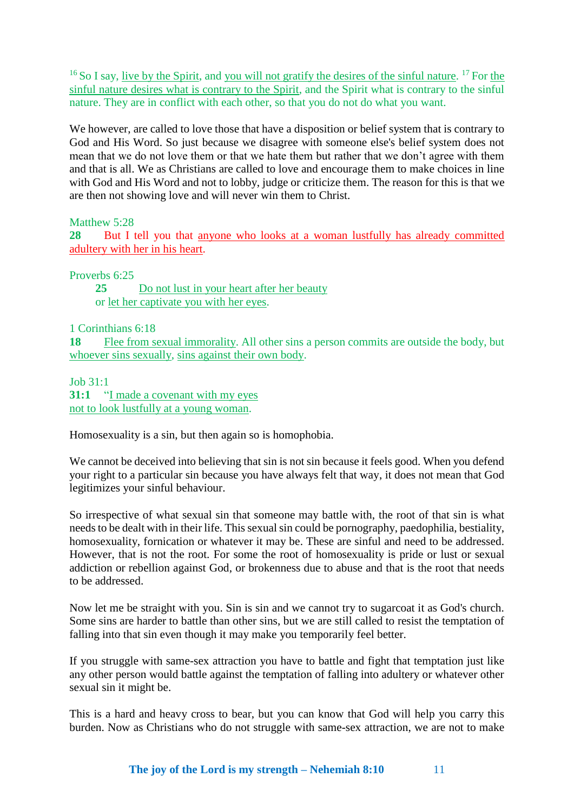<sup>16</sup> So I say, <u>live by the Spirit</u>, and you will not gratify the desires of the sinful nature. <sup>17</sup> For the sinful nature desires what is contrary to the Spirit, and the Spirit what is contrary to the sinful nature. They are in conflict with each other, so that you do not do what you want.

We however, are called to love those that have a disposition or belief system that is contrary to God and His Word. So just because we disagree with someone else's belief system does not mean that we do not love them or that we hate them but rather that we don't agree with them and that is all. We as Christians are called to love and encourage them to make choices in line with God and His Word and not to lobby, judge or criticize them. The reason for this is that we are then not showing love and will never win them to Christ.

Matthew 5:28

**28** But I tell you that anyone who looks at a woman lustfully has already committed adultery with her in his heart.

Proverbs 6:25

**25** Do not lust in your heart after her beauty or let her captivate you with her eyes.

1 Corinthians 6:18

**18** Flee from sexual immorality. All other sins a person commits are outside the body, but whoever sins sexually, sins against their own body.

Job 31:1

**31:1** "I made a covenant with my eyes not to look lustfully at a young woman.

Homosexuality is a sin, but then again so is homophobia.

We cannot be deceived into believing that sin is not sin because it feels good. When you defend your right to a particular sin because you have always felt that way, it does not mean that God legitimizes your sinful behaviour.

So irrespective of what sexual sin that someone may battle with, the root of that sin is what needs to be dealt with in their life. This sexual sin could be pornography, paedophilia, bestiality, homosexuality, fornication or whatever it may be. These are sinful and need to be addressed. However, that is not the root. For some the root of homosexuality is pride or lust or sexual addiction or rebellion against God, or brokenness due to abuse and that is the root that needs to be addressed.

Now let me be straight with you. Sin is sin and we cannot try to sugarcoat it as God's church. Some sins are harder to battle than other sins, but we are still called to resist the temptation of falling into that sin even though it may make you temporarily feel better.

If you struggle with same-sex attraction you have to battle and fight that temptation just like any other person would battle against the temptation of falling into adultery or whatever other sexual sin it might be.

This is a hard and heavy cross to bear, but you can know that God will help you carry this burden. Now as Christians who do not struggle with same-sex attraction, we are not to make